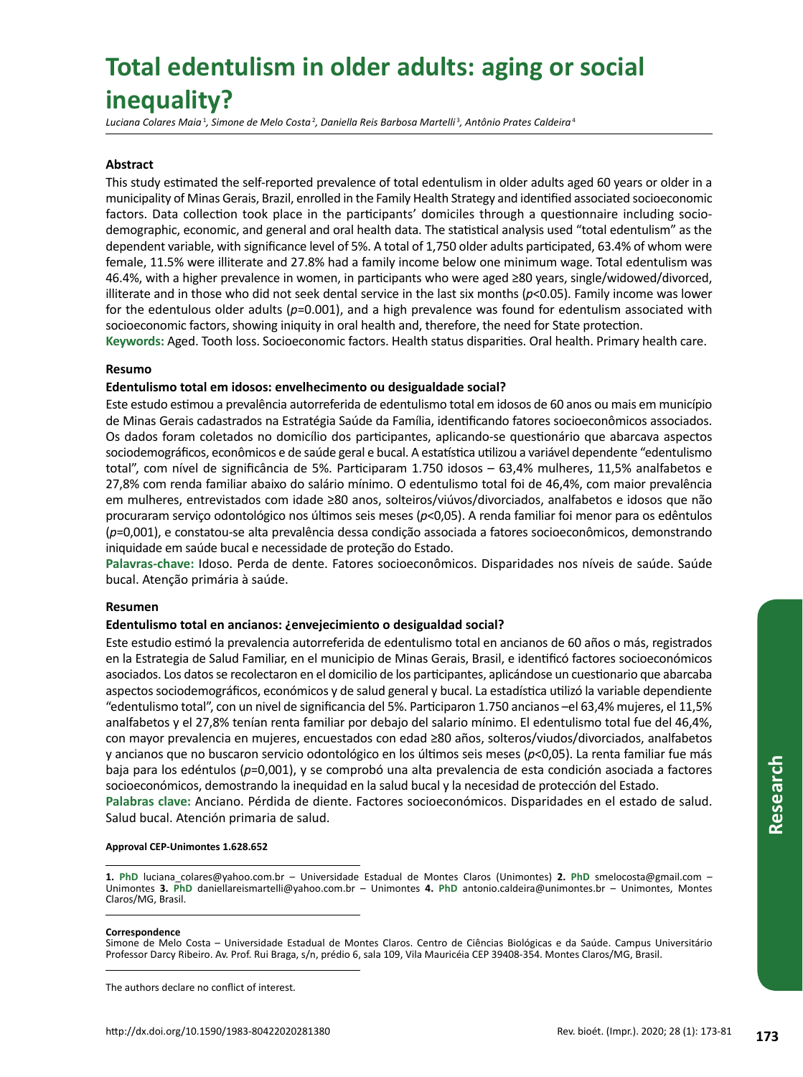# **Total edentulism in older adults: aging or social inequality?**

*Luciana Colares Maia*<sup>1</sup> *, Simone de Melo Costa*<sup>2</sup> *, Daniella Reis Barbosa Martelli*<sup>3</sup> *, Antônio Prates Caldeira*<sup>4</sup>

## **Abstract**

This study estimated the self-reported prevalence of total edentulism in older adults aged 60 years or older in a municipality of Minas Gerais, Brazil, enrolled in the Family Health Strategy and identified associated socioeconomic factors. Data collection took place in the participants' domiciles through a questionnaire including sociodemographic, economic, and general and oral health data. The statistical analysis used "total edentulism" as the dependent variable, with significance level of 5%. A total of 1,750 older adults participated, 63.4% of whom were female, 11.5% were illiterate and 27.8% had a family income below one minimum wage. Total edentulism was 46.4%, with a higher prevalence in women, in participants who were aged ≥80 years, single/widowed/divorced, illiterate and in those who did not seek dental service in the last six months (*p*<0.05). Family income was lower for the edentulous older adults (*p*=0.001), and a high prevalence was found for edentulism associated with socioeconomic factors, showing iniquity in oral health and, therefore, the need for State protection. **Keywords:** Aged. Tooth loss. Socioeconomic factors. Health status disparities. Oral health. Primary health care.

## **Resumo**

## **Edentulismo total em idosos: envelhecimento ou desigualdade social?**

Este estudo estimou a prevalência autorreferida de edentulismo total em idosos de 60 anos ou mais em município de Minas Gerais cadastrados na Estratégia Saúde da Família, identificando fatores socioeconômicos associados. Os dados foram coletados no domicílio dos participantes, aplicando-se questionário que abarcava aspectos sociodemográficos, econômicos e de saúde geral e bucal. A estatística utilizou a variável dependente "edentulismo total", com nível de significância de 5%. Participaram 1.750 idosos – 63,4% mulheres, 11,5% analfabetos e 27,8% com renda familiar abaixo do salário mínimo. O edentulismo total foi de 46,4%, com maior prevalência em mulheres, entrevistados com idade ≥80 anos, solteiros/viúvos/divorciados, analfabetos e idosos que não procuraram serviço odontológico nos últimos seis meses (*p*<0,05). A renda familiar foi menor para os edêntulos (*p*=0,001), e constatou-se alta prevalência dessa condição associada a fatores socioeconômicos, demonstrando iniquidade em saúde bucal e necessidade de proteção do Estado.

**Palavras-chave:** Idoso. Perda de dente. Fatores socioeconômicos. Disparidades nos níveis de saúde. Saúde bucal. Atenção primária à saúde.

## **Resumen**

## **Edentulismo total en ancianos: ¿envejecimiento o desigualdad social?**

**173**<br> **173** Rev. bioét. (Impr.). 2020; 28 (1): 173-81<br> **173**<br> **173**<br> **173**<br> **173**<br> **173** Este estudio estimó la prevalencia autorreferida de edentulismo total en ancianos de 60 años o más, registrados en la Estrategia de Salud Familiar, en el municipio de Minas Gerais, Brasil, e identificó factores socioeconómicos asociados. Los datos se recolectaron en el domicilio de los participantes, aplicándose un cuestionario que abarcaba aspectos sociodemográficos, económicos y de salud general y bucal. La estadística utilizó la variable dependiente "edentulismo total", con un nivel de significancia del 5%. Participaron 1.750 ancianos –el 63,4% mujeres, el 11,5% analfabetos y el 27,8% tenían renta familiar por debajo del salario mínimo. El edentulismo total fue del 46,4%, con mayor prevalencia en mujeres, encuestados con edad ≥80 años, solteros/viudos/divorciados, analfabetos y ancianos que no buscaron servicio odontológico en los últimos seis meses (*p*<0,05). La renta familiar fue más baja para los edéntulos (*p*=0,001), y se comprobó una alta prevalencia de esta condición asociada a factores socioeconómicos, demostrando la inequidad en la salud bucal y la necesidad de protección del Estado.

**Palabras clave:** Anciano. Pérdida de diente. Factores socioeconómicos. Disparidades en el estado de salud. Salud bucal. Atención primaria de salud.

## **Approval CEP-Unimontes 1.628.652**

#### **Correspondence**

The authors declare no conflict of interest.

**<sup>1.</sup> PhD** luciana\_colares@yahoo.com.br – Universidade Estadual de Montes Claros (Unimontes) **2. PhD** smelocosta@gmail.com – Unimontes **3. PhD** daniellareismartelli@yahoo.com.br – Unimontes **4. PhD** antonio.caldeira@unimontes.br – Unimontes, Montes Claros/MG, Brasil.

Simone de Melo Costa – Universidade Estadual de Montes Claros. Centro de Ciências Biológicas e da Saúde. Campus Universitário Professor Darcy Ribeiro. Av. Prof. Rui Braga, s/n, prédio 6, sala 109, Vila Mauricéia CEP 39408-354. Montes Claros/MG, Brasil.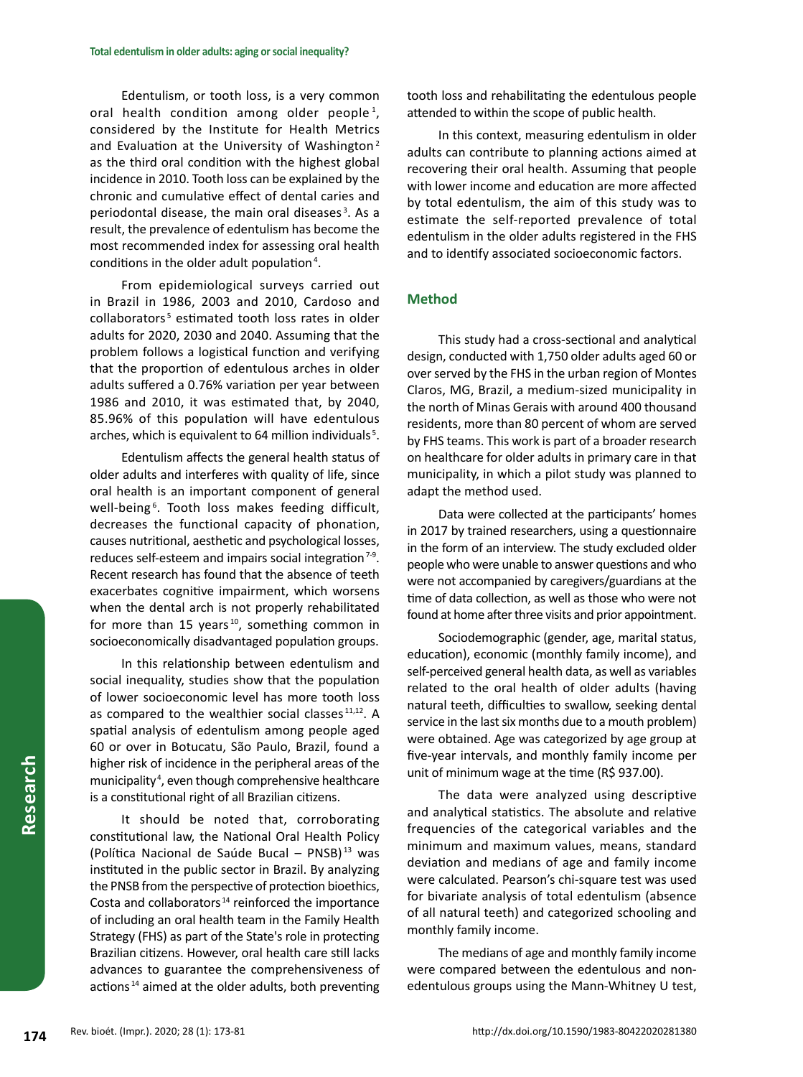Edentulism, or tooth loss, is a very common oral health condition among older people<sup>1</sup>, considered by the Institute for Health Metrics and Evaluation at the University of Washington<sup>2</sup> as the third oral condition with the highest global incidence in 2010. Tooth loss can be explained by the chronic and cumulative effect of dental caries and periodontal disease, the main oral diseases<sup>3</sup>. As a result, the prevalence of edentulism has become the most recommended index for assessing oral health conditions in the older adult population<sup>4</sup>.

From epidemiological surveys carried out in Brazil in 1986, 2003 and 2010, Cardoso and collaborators<sup>5</sup> estimated tooth loss rates in older adults for 2020, 2030 and 2040. Assuming that the problem follows a logistical function and verifying that the proportion of edentulous arches in older adults suffered a 0.76% variation per year between 1986 and 2010, it was estimated that, by 2040, 85.96% of this population will have edentulous arches, which is equivalent to 64 million individuals<sup>5</sup>.

Edentulism affects the general health status of older adults and interferes with quality of life, since oral health is an important component of general well-being<sup>6</sup>. Tooth loss makes feeding difficult, decreases the functional capacity of phonation, causes nutritional, aesthetic and psychological losses, reduces self-esteem and impairs social integration<sup>7-9</sup>. Recent research has found that the absence of teeth exacerbates cognitive impairment, which worsens when the dental arch is not properly rehabilitated for more than 15 years  $10$ , something common in socioeconomically disadvantaged population groups.

In this relationship between edentulism and social inequality, studies show that the population of lower socioeconomic level has more tooth loss as compared to the wealthier social classes<sup>11,12</sup>. A spatial analysis of edentulism among people aged 60 or over in Botucatu, São Paulo, Brazil, found a higher risk of incidence in the peripheral areas of the municipality <sup>4</sup> , even though comprehensive healthcare is a constitutional right of all Brazilian citizens.

It should be noted that, corroborating constitutional law, the National Oral Health Policy (Política Nacional de Saúde Bucal – PNSB) $^{13}$  was instituted in the public sector in Brazil. By analyzing the PNSB from the perspective of protection bioethics, Costa and collaborators <sup>14</sup> reinforced the importance of including an oral health team in the Family Health Strategy (FHS) as part of the State's role in protecting Brazilian citizens. However, oral health care still lacks advances to guarantee the comprehensiveness of actions <sup>14</sup> aimed at the older adults, both preventing tooth loss and rehabilitating the edentulous people attended to within the scope of public health.

In this context, measuring edentulism in older adults can contribute to planning actions aimed at recovering their oral health. Assuming that people with lower income and education are more affected by total edentulism, the aim of this study was to estimate the self-reported prevalence of total edentulism in the older adults registered in the FHS and to identify associated socioeconomic factors.

# **Method**

This study had a cross-sectional and analytical design, conducted with 1,750 older adults aged 60 or over served by the FHS in the urban region of Montes Claros, MG, Brazil, a medium-sized municipality in the north of Minas Gerais with around 400 thousand residents, more than 80 percent of whom are served by FHS teams. This work is part of a broader research on healthcare for older adults in primary care in that municipality, in which a pilot study was planned to adapt the method used.

Data were collected at the participants' homes in 2017 by trained researchers, using a questionnaire in the form of an interview. The study excluded older people who were unable to answer questions and who were not accompanied by caregivers/guardians at the time of data collection, as well as those who were not found at home after three visits and prior appointment.

Sociodemographic (gender, age, marital status, education), economic (monthly family income), and self-perceived general health data, as well as variables related to the oral health of older adults (having natural teeth, difficulties to swallow, seeking dental service in the last six months due to a mouth problem) were obtained. Age was categorized by age group at five-year intervals, and monthly family income per unit of minimum wage at the time (R\$ 937.00).

The data were analyzed using descriptive and analytical statistics. The absolute and relative frequencies of the categorical variables and the minimum and maximum values, means, standard deviation and medians of age and family income were calculated. Pearson's chi-square test was used for bivariate analysis of total edentulism (absence of all natural teeth) and categorized schooling and monthly family income.

The medians of age and monthly family income were compared between the edentulous and nonedentulous groups using the Mann-Whitney U test,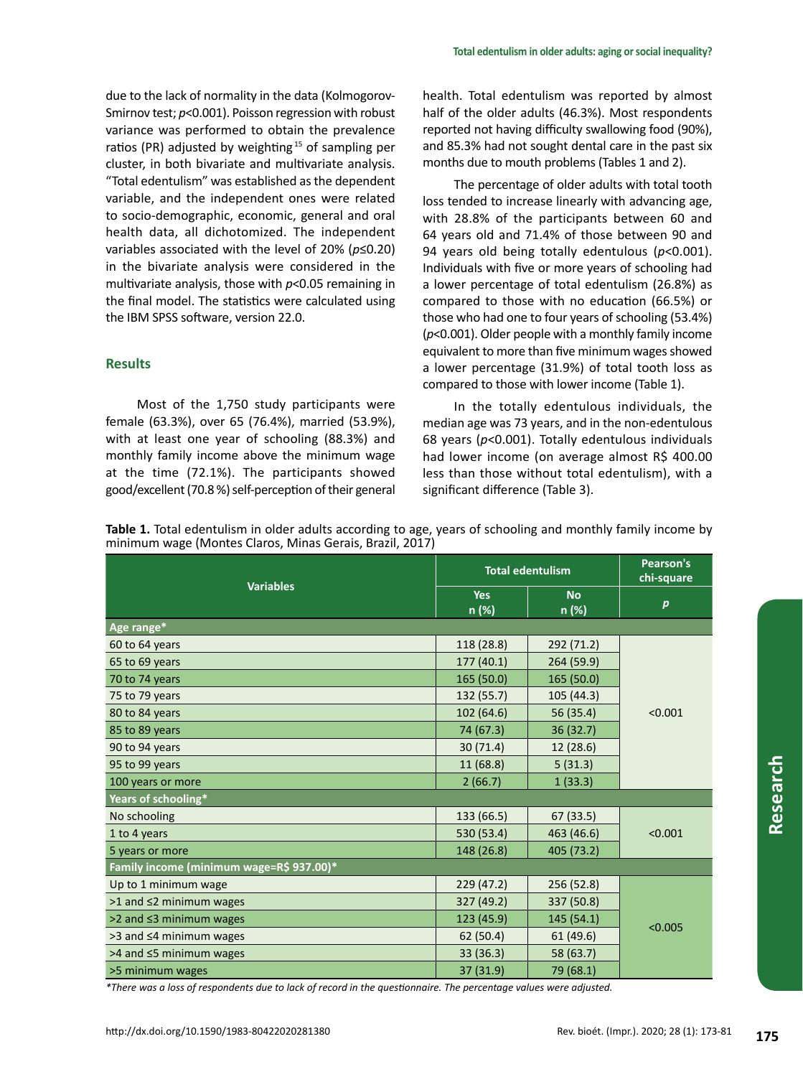due to the lack of normality in the data (Kolmogorov-Smirnov test;  $p$ <0.001). Poisson regression with robust variance was performed to obtain the prevalence ratios (PR) adjusted by weighting 15 of sampling per cluster, in both bivariate and multivariate analysis. "Total edentulism" was established as the dependent variable, and the independent ones were related to socio-demographic, economic, general and oral health data, all dichotomized. The independent variables associated with the level of 20% (*p*≤0.20) in the bivariate analysis were considered in the multivariate analysis, those with *p*<0.05 remaining in the final model. The statistics were calculated using the IBM SPSS software, version 22.0.

# **Results**

Most of the 1,750 study participants were female (63.3%), over 65 (76.4%), married (53.9%), with at least one year of schooling (88.3%) and monthly family income above the minimum wage at the time (72.1%). The participants showed good/excellent (70.8 %) self-perception of their general

health. Total edentulism was reported by almost half of the older adults (46.3%). Most respondents reported not having difficulty swallowing food (90%), and 85.3% had not sought dental care in the past six months due to mouth problems (Tables 1 and 2).

The percentage of older adults with total tooth loss tended to increase linearly with advancing age, with 28.8% of the participants between 60 and 64 years old and 71.4% of those between 90 and 94 years old being totally edentulous (*p*<0.001). Individuals with five or more years of schooling had a lower percentage of total edentulism (26.8%) as compared to those with no education (66.5%) or those who had one to four years of schooling (53.4%) (*p*<0.001). Older people with a monthly family income equivalent to more than five minimum wages showed a lower percentage (31.9%) of total tooth loss as compared to those with lower income (Table 1).

In the totally edentulous individuals, the median age was 73 years, and in the non-edentulous 68 years (*p*<0.001). Totally edentulous individuals had lower income (on average almost R\$ 400.00 less than those without total edentulism), with a significant difference (Table 3).

**Table 1.** Total edentulism in older adults according to age, years of schooling and monthly family income by minimum wage (Montes Claros, Minas Gerais, Brazil, 2017)

| <b>Variables</b>                         | <b>Total edentulism</b> | Pearson's<br>chi-square |                  |  |  |  |
|------------------------------------------|-------------------------|-------------------------|------------------|--|--|--|
|                                          | <b>Yes</b><br>n (%)     | <b>No</b><br>n (%)      | $\boldsymbol{p}$ |  |  |  |
| Age range*                               |                         |                         |                  |  |  |  |
| 60 to 64 years                           | 118 (28.8)              | 292 (71.2)              |                  |  |  |  |
| 65 to 69 years                           | 177(40.1)               | 264 (59.9)              |                  |  |  |  |
| 70 to 74 years                           | 165(50.0)               | 165 (50.0)              |                  |  |  |  |
| 75 to 79 years                           | 132 (55.7)              | 105 (44.3)              |                  |  |  |  |
| 80 to 84 years                           | 102(64.6)<br>56 (35.4)  |                         |                  |  |  |  |
| 85 to 89 years                           | 74 (67.3)               | 36(32.7)                |                  |  |  |  |
| 90 to 94 years                           | 30(71.4)                | 12(28.6)                |                  |  |  |  |
| 95 to 99 years                           | 11(68.8)                | 5(31.3)                 |                  |  |  |  |
| 100 years or more                        | 2(66.7)                 | 1(33.3)                 |                  |  |  |  |
| Years of schooling*                      |                         |                         |                  |  |  |  |
| No schooling                             | 133 (66.5)              | 67(33.5)                |                  |  |  |  |
| 1 to 4 years                             | 530 (53.4)              | 463 (46.6)              | < 0.001          |  |  |  |
| 5 years or more                          | 148 (26.8)              | 405 (73.2)              |                  |  |  |  |
| Family income (minimum wage=R\$ 937.00)* |                         |                         |                  |  |  |  |
| Up to 1 minimum wage                     | 229(47.2)               | 256 (52.8)              |                  |  |  |  |
| $>1$ and $\leq$ 2 minimum wages          | 327 (49.2)              | 337 (50.8)              | < 0.005          |  |  |  |
| >2 and ≤3 minimum wages                  | 123 (45.9)              | 145 (54.1)              |                  |  |  |  |
| $>3$ and $\leq 4$ minimum wages          | 62 (50.4)               | 61 (49.6)               |                  |  |  |  |
| $>4$ and $\leq$ 5 minimum wages          | 33(36.3)                | 58 (63.7)               |                  |  |  |  |
| >5 minimum wages                         | 37 (31.9)               | 79 (68.1)               |                  |  |  |  |

*\*There was a loss of respondents due to lack of record in the questionnaire. The percentage values were adjusted.*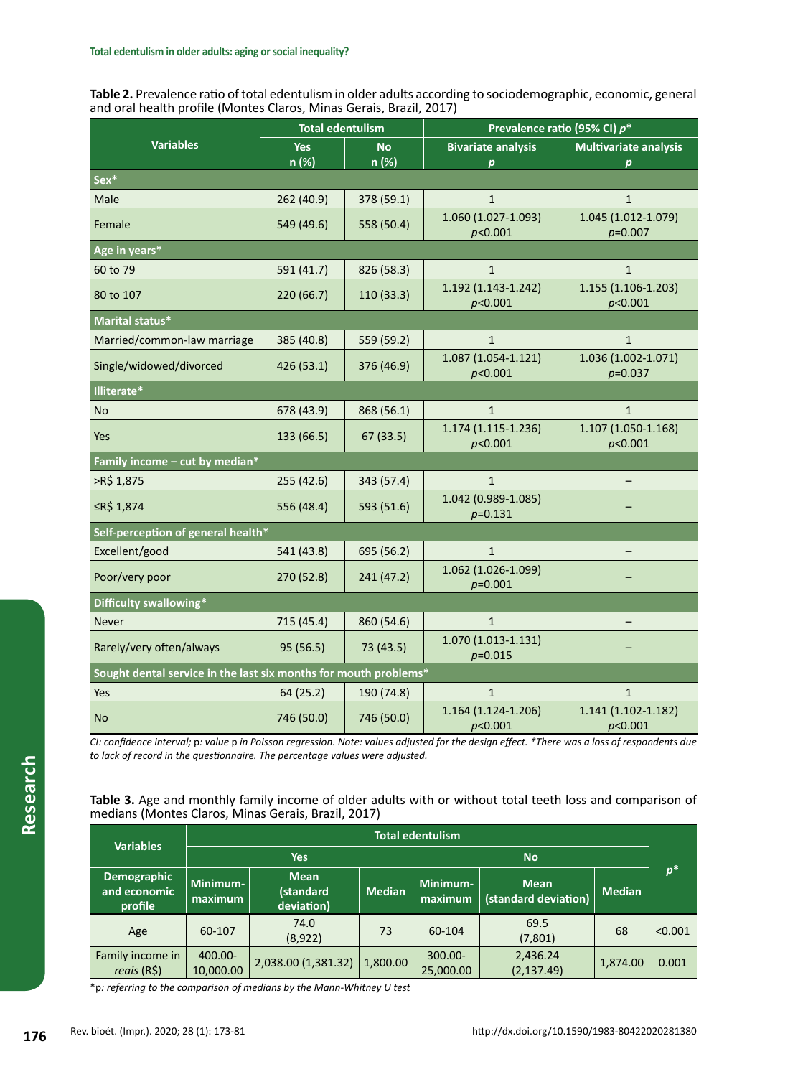**Table 2.** Prevalence ratio of total edentulism in older adults according to sociodemographic, economic, general and oral health profile (Montes Claros, Minas Gerais, Brazil, 2017)

|                                                                  | <b>Total edentulism</b> |                    | Prevalence ratio (95% CI) p*                                     |                                  |  |  |
|------------------------------------------------------------------|-------------------------|--------------------|------------------------------------------------------------------|----------------------------------|--|--|
| <b>Variables</b>                                                 | <b>Yes</b><br>n (%)     | <b>No</b><br>n (%) | <b>Bivariate analysis</b>                                        | <b>Multivariate analysis</b>     |  |  |
| Sex*                                                             |                         |                    | $\boldsymbol{p}$                                                 | $\boldsymbol{p}$                 |  |  |
| Male                                                             | 262 (40.9)              | 378 (59.1)         | $\mathbf{1}$                                                     | $\mathbf{1}$                     |  |  |
| Female                                                           | 549 (49.6)              | 558 (50.4)         | 1.060 (1.027-1.093)<br>p<0.001                                   | 1.045 (1.012-1.079)<br>$p=0.007$ |  |  |
| Age in years*                                                    |                         |                    |                                                                  |                                  |  |  |
| 60 to 79                                                         | 591 (41.7)              | 826 (58.3)         | $\mathbf{1}$                                                     | $\mathbf{1}$                     |  |  |
| 80 to 107                                                        | 220 (66.7)              | 110 (33.3)         | 1.192 (1.143-1.242)<br>p<0.001                                   | 1.155 (1.106-1.203)<br>p<0.001   |  |  |
| Marital status*                                                  |                         |                    |                                                                  |                                  |  |  |
| Married/common-law marriage                                      | 385 (40.8)              | 559 (59.2)         | $\mathbf{1}$                                                     | $\mathbf{1}$                     |  |  |
| Single/widowed/divorced                                          | 426 (53.1)              | 376 (46.9)         | $1.087(1.054 - 1.121)$<br>p<0.001                                | 1.036 (1.002-1.071)<br>$p=0.037$ |  |  |
| Illiterate*                                                      |                         |                    |                                                                  |                                  |  |  |
| No                                                               | 678 (43.9)              | 868 (56.1)         | $\mathbf{1}$                                                     | $\mathbf{1}$                     |  |  |
| Yes                                                              | 133 (66.5)              | 67(33.5)           | 1.174 (1.115-1.236)<br>p<0.001                                   | 1.107 (1.050-1.168)<br>p<0.001   |  |  |
| Family income - cut by median*                                   |                         |                    |                                                                  |                                  |  |  |
| >R\$ 1,875                                                       | 255(42.6)               | 343 (57.4)         | $\mathbf{1}$                                                     |                                  |  |  |
| ≤R\$ 1,874                                                       | 556 (48.4)              | 593 (51.6)         | 1.042 (0.989-1.085)<br>$p=0.131$                                 |                                  |  |  |
| Self-perception of general health*                               |                         |                    |                                                                  |                                  |  |  |
| Excellent/good                                                   | 541 (43.8)              | 695 (56.2)         | $\mathbf{1}$                                                     |                                  |  |  |
| Poor/very poor                                                   | 270 (52.8)              | 241 (47.2)         | 1.062 (1.026-1.099)<br>$p=0.001$                                 |                                  |  |  |
| Difficulty swallowing*                                           |                         |                    |                                                                  |                                  |  |  |
| <b>Never</b>                                                     | 715 (45.4)              | 860 (54.6)         | $\mathbf{1}$                                                     |                                  |  |  |
| Rarely/very often/always                                         | 95 (56.5)               | 73 (43.5)          | 1.070 (1.013-1.131)<br>$p=0.015$                                 |                                  |  |  |
| Sought dental service in the last six months for mouth problems* |                         |                    |                                                                  |                                  |  |  |
| Yes                                                              | 64(25.2)                | 190 (74.8)         | $\mathbf{1}$                                                     | $\mathbf{1}$                     |  |  |
| <b>No</b>                                                        | 746 (50.0)              | 746 (50.0)         | 1.164 (1.124-1.206)<br>1.141 (1.102-1.182)<br>p<0.001<br>p<0.001 |                                  |  |  |

*CI: confidence interval;* p*: value* p *in Poisson regression. Note: values adjusted for the design effect. \*There was a loss of respondents due to lack of record in the questionnaire. The percentage values were adjusted.*

| Table 3. Age and monthly family income of older adults with or without total teeth loss and comparison of |  |  |  |  |
|-----------------------------------------------------------------------------------------------------------|--|--|--|--|
| medians (Montes Claros, Minas Gerais, Brazil, 2017)                                                       |  |  |  |  |

|                                        | <b>Total edentulism</b> |                                        |               |                                                            |                         |               |         |
|----------------------------------------|-------------------------|----------------------------------------|---------------|------------------------------------------------------------|-------------------------|---------------|---------|
| <b>Variables</b>                       | <b>Yes</b>              |                                        | <b>No</b>     |                                                            |                         |               |         |
| Demographic<br>and economic<br>profile | Minimum-<br>maximum     | <b>Mean</b><br>(standard<br>deviation) | <b>Median</b> | Minimum-<br><b>Mean</b><br>(standard deviation)<br>maximum |                         | <b>Median</b> | $p^*$   |
| Age                                    | 60-107                  | 74.0<br>(8,922)                        | 73            | 60-104                                                     | 69.5<br>(7,801)         | 68            | < 0.001 |
| Family income in<br>reais(R\$)         | 400.00-<br>10,000.00    | 2,038.00 (1,381.32)                    | 1.800.00      | 300.00-<br>25,000.00                                       | 2,436.24<br>(2, 137.49) | 1,874.00      | 0.001   |

\*p*: referring to the comparison of medians by the Mann-Whitney U test*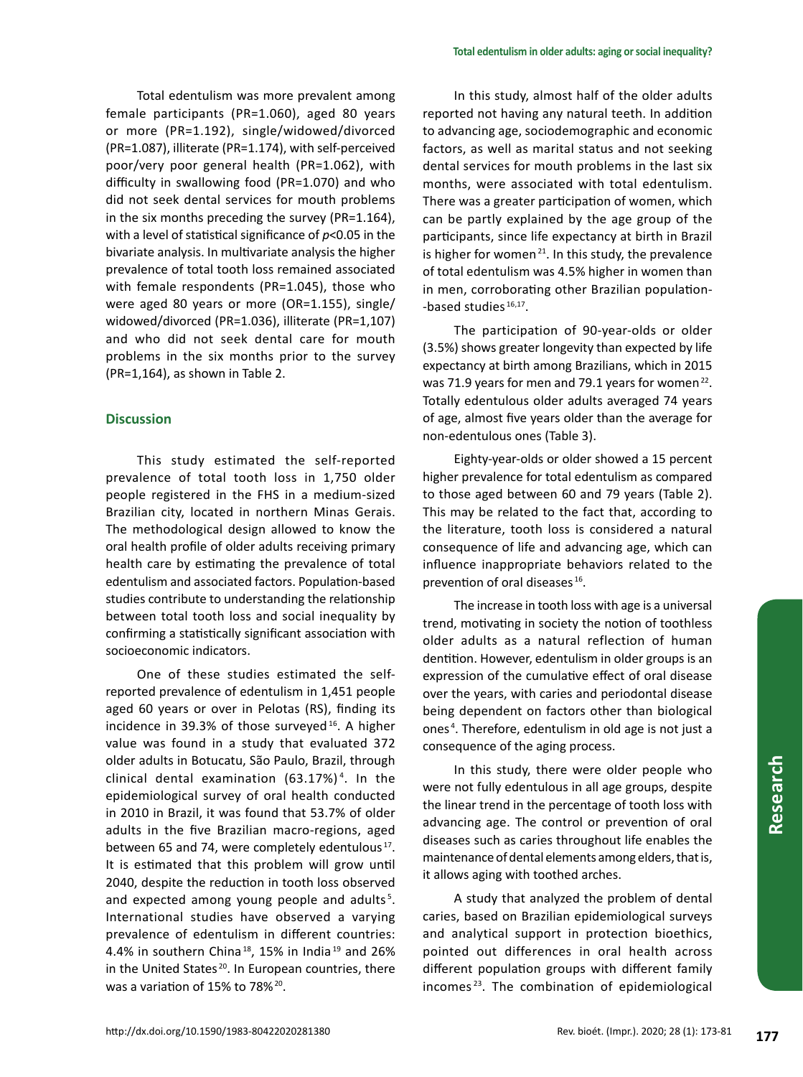Total edentulism was more prevalent among female participants (PR=1.060), aged 80 years or more (PR=1.192), single/widowed/divorced (PR=1.087), illiterate (PR=1.174), with self-perceived poor/very poor general health (PR=1.062), with difficulty in swallowing food (PR=1.070) and who did not seek dental services for mouth problems in the six months preceding the survey (PR=1.164), with a level of statistical significance of *p*<0.05 in the bivariate analysis. In multivariate analysis the higher prevalence of total tooth loss remained associated with female respondents (PR=1.045), those who were aged 80 years or more (OR=1.155), single/ widowed/divorced (PR=1.036), illiterate (PR=1,107) and who did not seek dental care for mouth problems in the six months prior to the survey (PR=1,164), as shown in Table 2.

# **Discussion**

This study estimated the self-reported prevalence of total tooth loss in 1,750 older people registered in the FHS in a medium-sized Brazilian city, located in northern Minas Gerais. The methodological design allowed to know the oral health profile of older adults receiving primary health care by estimating the prevalence of total edentulism and associated factors. Population-based studies contribute to understanding the relationship between total tooth loss and social inequality by confirming a statistically significant association with socioeconomic indicators.

One of these studies estimated the selfreported prevalence of edentulism in 1,451 people aged 60 years or over in Pelotas (RS), finding its incidence in 39.3% of those surveyed<sup>16</sup>. A higher value was found in a study that evaluated 372 older adults in Botucatu, São Paulo, Brazil, through clinical dental examination (63.17%) <sup>4</sup> . In the epidemiological survey of oral health conducted in 2010 in Brazil, it was found that 53.7% of older adults in the five Brazilian macro-regions, aged between 65 and 74, were completely edentulous<sup>17</sup>. It is estimated that this problem will grow until 2040, despite the reduction in tooth loss observed and expected among young people and adults<sup>5</sup>. International studies have observed a varying prevalence of edentulism in different countries: 4.4% in southern China<sup>18</sup>, 15% in India<sup>19</sup> and 26% in the United States<sup>20</sup>. In European countries, there was a variation of 15% to 78%<sup>20</sup>.

In this study, almost half of the older adults reported not having any natural teeth. In addition to advancing age, sociodemographic and economic factors, as well as marital status and not seeking dental services for mouth problems in the last six months, were associated with total edentulism. There was a greater participation of women, which can be partly explained by the age group of the participants, since life expectancy at birth in Brazil is higher for women<sup>21</sup>. In this study, the prevalence of total edentulism was 4.5% higher in women than in men, corroborating other Brazilian population- -based studies<sup>16,17</sup>.

The participation of 90-year-olds or older (3.5%) shows greater longevity than expected by life expectancy at birth among Brazilians, which in 2015 was 71.9 years for men and 79.1 years for women<sup>22</sup>. Totally edentulous older adults averaged 74 years of age, almost five years older than the average for non-edentulous ones (Table 3).

Eighty-year-olds or older showed a 15 percent higher prevalence for total edentulism as compared to those aged between 60 and 79 years (Table 2). This may be related to the fact that, according to the literature, tooth loss is considered a natural consequence of life and advancing age, which can influence inappropriate behaviors related to the prevention of oral diseases <sup>16</sup>.

The increase in tooth loss with age is a universal trend, motivating in society the notion of toothless older adults as a natural reflection of human dentition. However, edentulism in older groups is an expression of the cumulative effect of oral disease over the years, with caries and periodontal disease being dependent on factors other than biological ones <sup>4</sup> . Therefore, edentulism in old age is not just a consequence of the aging process.

In this study, there were older people who were not fully edentulous in all age groups, despite the linear trend in the percentage of tooth loss with advancing age. The control or prevention of oral diseases such as caries throughout life enables the maintenance of dental elements among elders, that is, it allows aging with toothed arches.

A study that analyzed the problem of dental caries, based on Brazilian epidemiological surveys and analytical support in protection bioethics, pointed out differences in oral health across different population groups with different family incomes <sup>23</sup>. The combination of epidemiological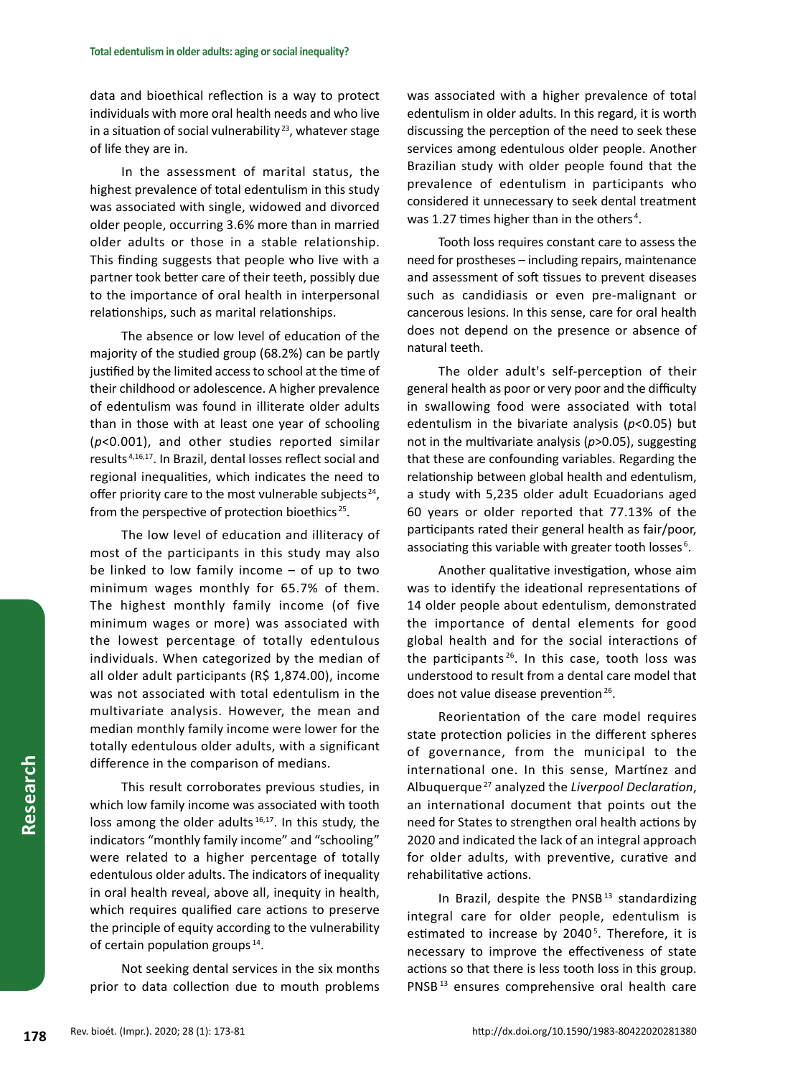data and bioethical reflection is a way to protect individuals with more oral health needs and who live in a situation of social vulnerability<sup>23</sup>, whatever stage of life they are in.

In the assessment of marital status, the highest prevalence of total edentulism in this study was associated with single, widowed and divorced older people, occurring 3.6% more than in married older adults or those in a stable relationship. This finding suggests that people who live with a partner took better care of their teeth, possibly due to the importance of oral health in interpersonal relationships, such as marital relationships.

The absence or low level of education of the majority of the studied group (68.2%) can be partly justified by the limited access to school at the time of their childhood or adolescence. A higher prevalence of edentulism was found in illiterate older adults than in those with at least one year of schooling (*p*<0.001), and other studies reported similar results 4,16,17. In Brazil, dental losses reflect social and regional inequalities, which indicates the need to offer priority care to the most vulnerable subjects<sup>24</sup>, from the perspective of protection bioethics <sup>25</sup>.

The low level of education and illiteracy of most of the participants in this study may also be linked to low family income – of up to two minimum wages monthly for 65.7% of them. The highest monthly family income (of five minimum wages or more) was associated with the lowest percentage of totally edentulous individuals. When categorized by the median of all older adult participants (R\$ 1,874.00), income was not associated with total edentulism in the multivariate analysis. However, the mean and median monthly family income were lower for the totally edentulous older adults, with a significant difference in the comparison of medians.

This result corroborates previous studies, in which low family income was associated with tooth loss among the older adults  $16,17$ . In this study, the indicators "monthly family income" and "schooling" were related to a higher percentage of totally edentulous older adults. The indicators of inequality in oral health reveal, above all, inequity in health, which requires qualified care actions to preserve the principle of equity according to the vulnerability of certain population groups 14.

Not seeking dental services in the six months prior to data collection due to mouth problems was associated with a higher prevalence of total edentulism in older adults. In this regard, it is worth discussing the perception of the need to seek these services among edentulous older people. Another Brazilian study with older people found that the prevalence of edentulism in participants who considered it unnecessary to seek dental treatment was 1.27 times higher than in the others<sup>4</sup>.

Tooth loss requires constant care to assess the need for prostheses – including repairs, maintenance and assessment of soft tissues to prevent diseases such as candidiasis or even pre-malignant or cancerous lesions. In this sense, care for oral health does not depend on the presence or absence of natural teeth.

The older adult's self-perception of their general health as poor or very poor and the difficulty in swallowing food were associated with total edentulism in the bivariate analysis (*p*<0.05) but not in the multivariate analysis (*p*>0.05), suggesting that these are confounding variables. Regarding the relationship between global health and edentulism, a study with 5,235 older adult Ecuadorians aged 60 years or older reported that 77.13% of the participants rated their general health as fair/poor, associating this variable with greater tooth losses<sup>6</sup>.

Another qualitative investigation, whose aim was to identify the ideational representations of 14 older people about edentulism, demonstrated the importance of dental elements for good global health and for the social interactions of the participants 26. In this case, tooth loss was understood to result from a dental care model that does not value disease prevention<sup>26</sup>.

Reorientation of the care model requires state protection policies in the different spheres of governance, from the municipal to the international one. In this sense, Martínez and Albuquerque <sup>27</sup> analyzed the *Liverpool Declaration*, an international document that points out the need for States to strengthen oral health actions by 2020 and indicated the lack of an integral approach for older adults, with preventive, curative and rehabilitative actions.

In Brazil, despite the PNSB $13$  standardizing integral care for older people, edentulism is estimated to increase by 2040<sup>5</sup>. Therefore, it is necessary to improve the effectiveness of state actions so that there is less tooth loss in this group. PNSB<sup>13</sup> ensures comprehensive oral health care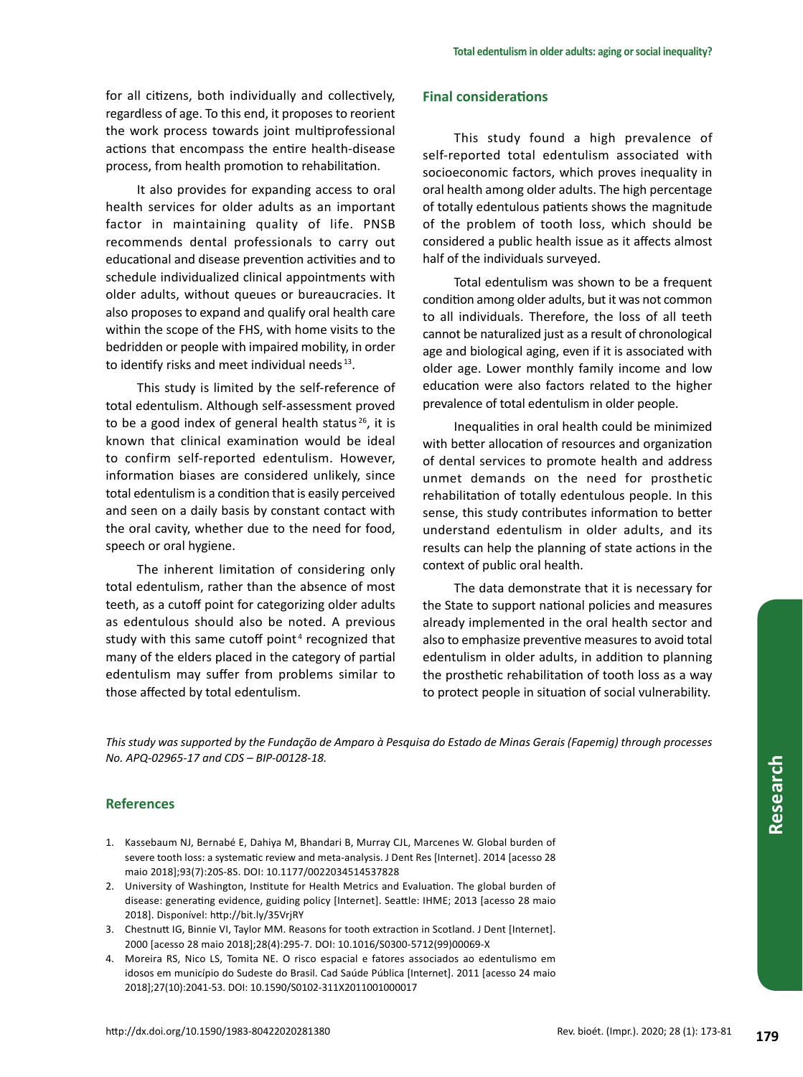for all citizens, both individually and collectively, regardless of age. To this end, it proposes to reorient the work process towards joint multiprofessional actions that encompass the entire health-disease process, from health promotion to rehabilitation.

It also provides for expanding access to oral health services for older adults as an important factor in maintaining quality of life. PNSB recommends dental professionals to carry out educational and disease prevention activities and to schedule individualized clinical appointments with older adults, without queues or bureaucracies. It also proposes to expand and qualify oral health care within the scope of the FHS, with home visits to the bedridden or people with impaired mobility, in order to identify risks and meet individual needs 13.

This study is limited by the self-reference of total edentulism. Although self-assessment proved to be a good index of general health status $26$ , it is known that clinical examination would be ideal to confirm self-reported edentulism. However, information biases are considered unlikely, since total edentulism is a condition that is easily perceived and seen on a daily basis by constant contact with the oral cavity, whether due to the need for food, speech or oral hygiene.

The inherent limitation of considering only total edentulism, rather than the absence of most teeth, as a cutoff point for categorizing older adults as edentulous should also be noted. A previous study with this same cutoff point<sup>4</sup> recognized that many of the elders placed in the category of partial edentulism may suffer from problems similar to those affected by total edentulism.

# **Final considerations**

This study found a high prevalence of self-reported total edentulism associated with socioeconomic factors, which proves inequality in oral health among older adults. The high percentage of totally edentulous patients shows the magnitude of the problem of tooth loss, which should be considered a public health issue as it affects almost half of the individuals surveyed.

Total edentulism was shown to be a frequent condition among older adults, but it was not common to all individuals. Therefore, the loss of all teeth cannot be naturalized just as a result of chronological age and biological aging, even if it is associated with older age. Lower monthly family income and low education were also factors related to the higher prevalence of total edentulism in older people.

Inequalities in oral health could be minimized with better allocation of resources and organization of dental services to promote health and address unmet demands on the need for prosthetic rehabilitation of totally edentulous people. In this sense, this study contributes information to better understand edentulism in older adults, and its results can help the planning of state actions in the context of public oral health.

The data demonstrate that it is necessary for the State to support national policies and measures already implemented in the oral health sector and also to emphasize preventive measures to avoid total edentulism in older adults, in addition to planning the prosthetic rehabilitation of tooth loss as a way to protect people in situation of social vulnerability.

*This study was supported by the Fundação de Amparo à Pesquisa do Estado de Minas Gerais (Fapemig) through processes No. APQ-02965-17 and CDS – BIP-00128-18.*

# **References**

- 1. Kassebaum NJ, Bernabé E, Dahiya M, Bhandari B, Murray CJL, Marcenes W. Global burden of severe tooth loss: a systematic review and meta-analysis. J Dent Res [Internet]. 2014 [acesso 28 maio 2018];93(7):20S-8S. DOI: 10.1177/0022034514537828
- 2. University of Washington, Institute for Health Metrics and Evaluation. The global burden of disease: generating evidence, guiding policy [Internet]. Seattle: IHME; 2013 [acesso 28 maio 2018]. Disponível: http://bit.ly/35VrjRY
- 3. Chestnutt IG, Binnie VI, Taylor MM. Reasons for tooth extraction in Scotland. J Dent [Internet]. 2000 [acesso 28 maio 2018];28(4):295-7. DOI: 10.1016/S0300-5712(99)00069-X
- 4. Moreira RS, Nico LS, Tomita NE. O risco espacial e fatores associados ao edentulismo em idosos em município do Sudeste do Brasil. Cad Saúde Pública [Internet]. 2011 [acesso 24 maio 2018];27(10):2041-53. DOI: 10.1590/S0102-311X2011001000017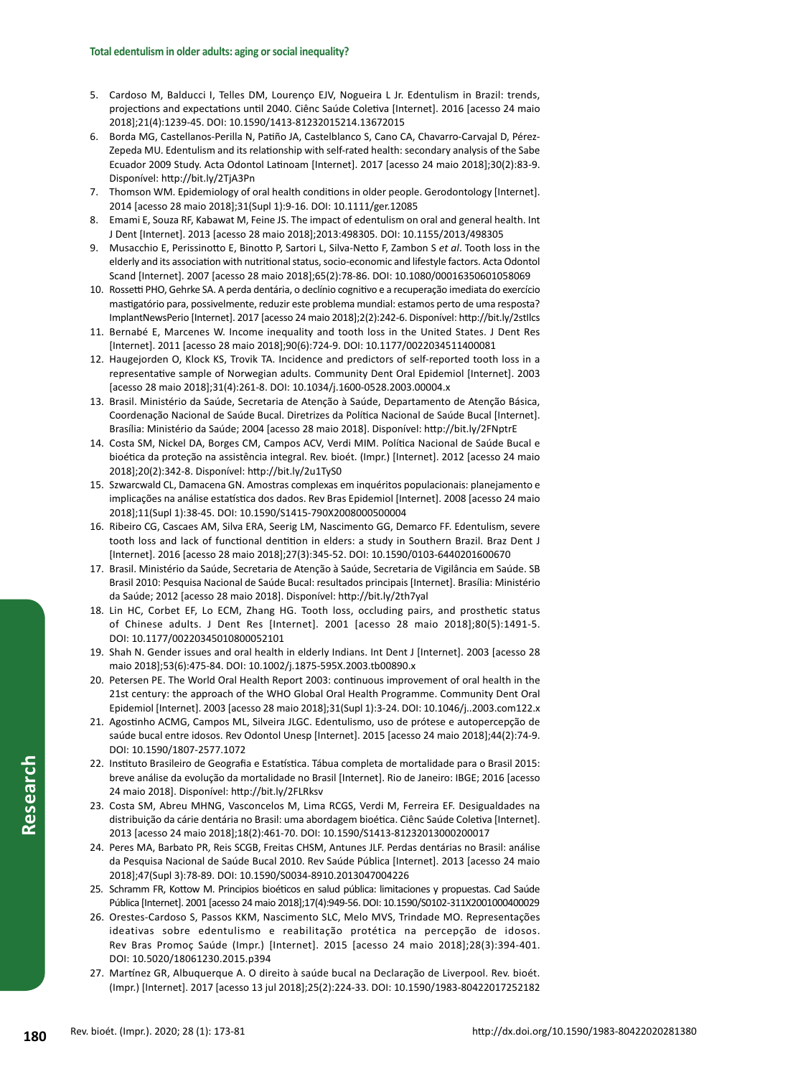- 5. Cardoso M, Balducci I, Telles DM, Lourenço EJV, Nogueira L Jr. Edentulism in Brazil: trends, projections and expectations until 2040. Ciênc Saúde Coletiva [Internet]. 2016 [acesso 24 maio 2018];21(4):1239-45. DOI: 10.1590/1413-81232015214.13672015
- 6. Borda MG, Castellanos-Perilla N, Patiño JA, Castelblanco S, Cano CA, Chavarro-Carvajal D, Pérez-Zepeda MU. Edentulism and its relationship with self-rated health: secondary analysis of the Sabe Ecuador 2009 Study. Acta Odontol Latinoam [Internet]. 2017 [acesso 24 maio 2018];30(2):83-9. Disponível: http://bit.ly/2TjA3Pn
- 7. Thomson WM. Epidemiology of oral health conditions in older people. Gerodontology [Internet]. 2014 [acesso 28 maio 2018];31(Supl 1):9-16. DOI: 10.1111/ger.12085
- 8. Emami E, Souza RF, Kabawat M, Feine JS. The impact of edentulism on oral and general health. Int J Dent [Internet]. 2013 [acesso 28 maio 2018];2013:498305. DOI: 10.1155/2013/498305
- 9. Musacchio E, Perissinotto E, Binotto P, Sartori L, Silva-Netto F, Zambon S *et al*. Tooth loss in the elderly and its association with nutritional status, socio-economic and lifestyle factors. Acta Odontol Scand [Internet]. 2007 [acesso 28 maio 2018];65(2):78-86. DOI: 10.1080/00016350601058069
- 10. Rossetti PHO, Gehrke SA. A perda dentária, o declínio cognitivo e a recuperação imediata do exercício mastigatório para, possivelmente, reduzir este problema mundial: estamos perto de uma resposta? ImplantNewsPerio [Internet]. 2017 [acesso 24 maio 2018];2(2):242-6. Disponível: http://bit.ly/2stIlcs
- 11. Bernabé E, Marcenes W. Income inequality and tooth loss in the United States. J Dent Res [Internet]. 2011 [acesso 28 maio 2018];90(6):724-9. DOI: 10.1177/0022034511400081
- 12. Haugejorden O, Klock KS, Trovik TA. Incidence and predictors of self-reported tooth loss in a representative sample of Norwegian adults. Community Dent Oral Epidemiol [Internet]. 2003 [acesso 28 maio 2018];31(4):261-8. DOI: 10.1034/j.1600-0528.2003.00004.x
- 13. Brasil. Ministério da Saúde, Secretaria de Atenção à Saúde, Departamento de Atenção Básica, Coordenação Nacional de Saúde Bucal. Diretrizes da Política Nacional de Saúde Bucal [Internet]. Brasília: Ministério da Saúde; 2004 [acesso 28 maio 2018]. Disponível: http://bit.ly/2FNptrE
- 14. Costa SM, Nickel DA, Borges CM, Campos ACV, Verdi MIM. Política Nacional de Saúde Bucal e bioética da proteção na assistência integral. Rev. bioét. (Impr.) [Internet]. 2012 [acesso 24 maio 2018];20(2):342-8. Disponível: http://bit.ly/2u1TyS0
- 15. Szwarcwald CL, Damacena GN. Amostras complexas em inquéritos populacionais: planejamento e implicações na análise estatística dos dados. Rev Bras Epidemiol [Internet]. 2008 [acesso 24 maio 2018];11(Supl 1):38-45. DOI: 10.1590/S1415-790X2008000500004
- 16. Ribeiro CG, Cascaes AM, Silva ERA, Seerig LM, Nascimento GG, Demarco FF. Edentulism, severe tooth loss and lack of functional dentition in elders: a study in Southern Brazil. Braz Dent J [Internet]. 2016 [acesso 28 maio 2018];27(3):345-52. DOI: 10.1590/0103-6440201600670
- 17. Brasil. Ministério da Saúde, Secretaria de Atenção à Saúde, Secretaria de Vigilância em Saúde. SB Brasil 2010: Pesquisa Nacional de Saúde Bucal: resultados principais [Internet]. Brasília: Ministério da Saúde; 2012 [acesso 28 maio 2018]. Disponível: http://bit.ly/2th7yal
- 18. Lin HC, Corbet EF, Lo ECM, Zhang HG. Tooth loss, occluding pairs, and prosthetic status of Chinese adults. J Dent Res [Internet]. 2001 [acesso 28 maio 2018];80(5):1491-5. DOI: 10.1177/00220345010800052101
- 19. Shah N. Gender issues and oral health in elderly Indians. Int Dent J [Internet]. 2003 [acesso 28 maio 2018];53(6):475-84. DOI: 10.1002/j.1875-595X.2003.tb00890.x
- 20. Petersen PE. The World Oral Health Report 2003: continuous improvement of oral health in the 21st century: the approach of the WHO Global Oral Health Programme. Community Dent Oral Epidemiol [Internet]. 2003 [acesso 28 maio 2018];31(Supl 1):3-24. DOI: 10.1046/j..2003.com122.x
- 21. Agostinho ACMG, Campos ML, Silveira JLGC. Edentulismo, uso de prótese e autopercepção de saúde bucal entre idosos. Rev Odontol Unesp [Internet]. 2015 [acesso 24 maio 2018];44(2):74-9. DOI: 10.1590/1807-2577.1072
- 22. Instituto Brasileiro de Geografia e Estatística. Tábua completa de mortalidade para o Brasil 2015: breve análise da evolução da mortalidade no Brasil [Internet]. Rio de Janeiro: IBGE; 2016 [acesso 24 maio 2018]. Disponível: http://bit.ly/2FLRksv
- 23. Costa SM, Abreu MHNG, Vasconcelos M, Lima RCGS, Verdi M, Ferreira EF. Desigualdades na distribuição da cárie dentária no Brasil: uma abordagem bioética. Ciênc Saúde Coletiva [Internet]. 2013 [acesso 24 maio 2018];18(2):461-70. DOI: 10.1590/S1413-81232013000200017
- 24. Peres MA, Barbato PR, Reis SCGB, Freitas CHSM, Antunes JLF. Perdas dentárias no Brasil: análise da Pesquisa Nacional de Saúde Bucal 2010. Rev Saúde Pública [Internet]. 2013 [acesso 24 maio 2018];47(Supl 3):78-89. DOI: 10.1590/S0034-8910.2013047004226
- 25. Schramm FR, Kottow M. Principios bioéticos en salud pública: limitaciones y propuestas. Cad Saúde Pública [Internet]. 2001 [acesso 24 maio 2018];17(4):949-56. DOI: 10.1590/S0102-311X2001000400029
- 26. Orestes-Cardoso S, Passos KKM, Nascimento SLC, Melo MVS, Trindade MO. Representações ideativas sobre edentulismo e reabilitação protética na percepção de idosos. Rev Bras Promoç Saúde (Impr.) [Internet]. 2015 [acesso 24 maio 2018];28(3):394-401. DOI: 10.5020/18061230.2015.p394
- 27. Martínez GR, Albuquerque A. O direito à saúde bucal na Declaração de Liverpool. Rev. bioét. (Impr.) [Internet]. 2017 [acesso 13 jul 2018];25(2):224-33. DOI: 10.1590/1983-80422017252182